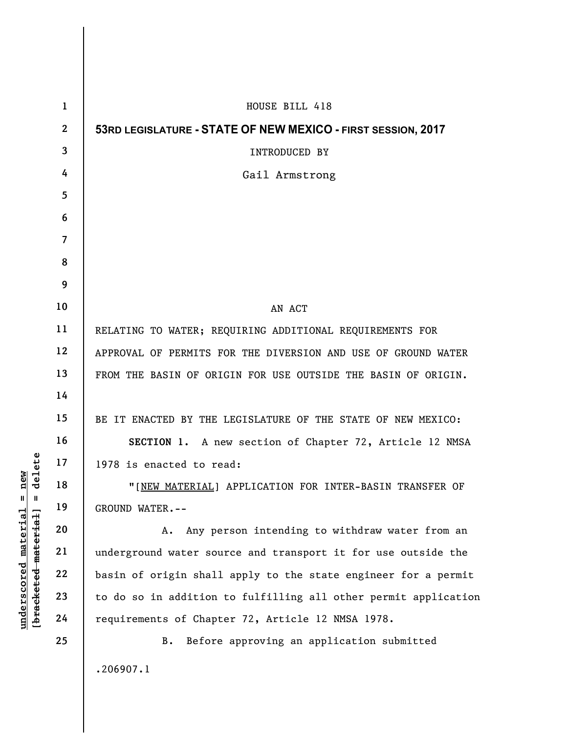| $\mathbf{1}$ | HOUSE BILL 418                                                  |
|--------------|-----------------------------------------------------------------|
| $\mathbf{2}$ | 53RD LEGISLATURE - STATE OF NEW MEXICO - FIRST SESSION, 2017    |
| 3            | INTRODUCED BY                                                   |
| 4            | Gail Armstrong                                                  |
| 5            |                                                                 |
| 6            |                                                                 |
| 7            |                                                                 |
| 8            |                                                                 |
| 9            |                                                                 |
| 10           | AN ACT                                                          |
| 11           | RELATING TO WATER; REQUIRING ADDITIONAL REQUIREMENTS FOR        |
| 12           | APPROVAL OF PERMITS FOR THE DIVERSION AND USE OF GROUND WATER   |
| 13           | FROM THE BASIN OF ORIGIN FOR USE OUTSIDE THE BASIN OF ORIGIN.   |
| 14           |                                                                 |
| 15           | BE IT ENACTED BY THE LEGISLATURE OF THE STATE OF NEW MEXICO:    |
| 16           | SECTION 1. A new section of Chapter 72, Article 12 NMSA         |
| 17           | 1978 is enacted to read:                                        |
| 18           | "[NEW MATERIAL] APPLICATION FOR INTER-BASIN TRANSFER OF         |
| 19           | GROUND WATER.--                                                 |
| 20           | Any person intending to withdraw water from an<br>Α.            |
| 21           | underground water source and transport it for use outside the   |
| 22           | basin of origin shall apply to the state engineer for a permit  |
| 23           | to do so in addition to fulfilling all other permit application |
| 24           | requirements of Chapter 72, Article 12 NMSA 1978.               |
| 25           | Before approving an application submitted<br>B.                 |
|              | .206907.1                                                       |

 $[**bracket**et~~eted matcherial~~] = **delete**$ **[bracketed material] = delete**  $underscored material = new$ **underscored material = new**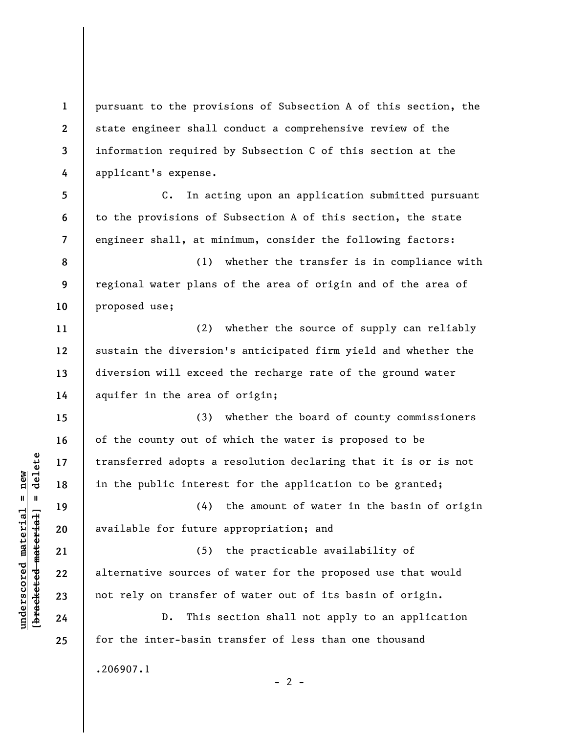**1 2 3 4**  pursuant to the provisions of Subsection A of this section, the state engineer shall conduct a comprehensive review of the information required by Subsection C of this section at the applicant's expense.

C. In acting upon an application submitted pursuant to the provisions of Subsection A of this section, the state engineer shall, at minimum, consider the following factors:

**8 9 10**  (1) whether the transfer is in compliance with regional water plans of the area of origin and of the area of proposed use;

(2) whether the source of supply can reliably sustain the diversion's anticipated firm yield and whether the diversion will exceed the recharge rate of the ground water aquifer in the area of origin;

(3) whether the board of county commissioners of the county out of which the water is proposed to be transferred adopts a resolution declaring that it is or is not in the public interest for the application to be granted;

(4) the amount of water in the basin of origin available for future appropriation; and

(5) the practicable availability of alternative sources of water for the proposed use that would not rely on transfer of water out of its basin of origin.

D. This section shall not apply to an application for the inter-basin transfer of less than one thousand .206907.1

 $\frac{1}{2}$  intereted material = delete **[bracketed material] = delete**  $underscored material = new$ **underscored material = new**

**5** 

**6** 

**7** 

**11** 

**12** 

**13** 

**14** 

**15** 

**16** 

**17** 

**18** 

**19** 

**20** 

**21** 

**22** 

**23** 

**24** 

**25** 

 $- 2 -$